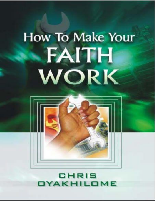# How To Make Your FAITH WORK

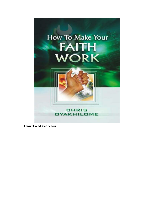

**How To Make Your**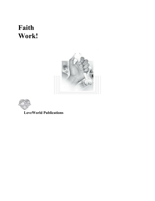## **Faith Work!**





**LoveWorld Publications**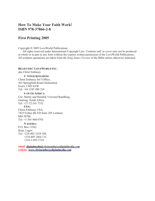#### **How To Make Your Faith Work! ISBN 978-37866-2-8**

#### **First Printing 2005**

Copyright **©** 2005 LoveWorld Publications

All rights reserved under International Copyright Law. Contents and/ or cover may not be produced in whole or in part in any form without the express written permission of the LoveWorld Publications. All scripture quotations are taken from the *King James Version* of the Bible unless otherwise indicated.

#### **BELIEVERS' LOVEWORLD INC.**

aka Christ Embassy

#### **U NITED KINGDOM:**

Christ Embassy Int'l Office, 363 Springfield Road Chelmsford, Essex, CM2 6AW Tel: +44 1245 490 234

#### **S OUTH AFRICA:**

Cnr. Harley and Hendrik Vewoerd Randburg, Gauteng. South Africa. Tel: +27-72-241 7332 **USA:**

Christ Embassy USA, 7425 Forbes BLVD Suite 205 Lanham, MD 20706 Tel: +1-301-860 0703

#### **N IGERIA:**

P.O. Box 13563 Ikeja, Lagos. Tel: +234-802 3324 188, +234-805 2464 131, +234-1-892 5724

*email: [digitalmedia@christembassydigitalmedia.com](mailto:digitalmedia@christembassydigitalmedia.com) website: [www.christembassydigitalmedia.com](http://www.christembassydigitalmedia.com)*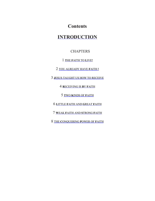## **Contents**

## **[INTRODUCTION](#page-5-0)**

### **CHAPTERS**

#### **T**HE **F**[AITH](#page-7-0) TO **L**IVE**!**

YOU [ALREADY](#page-13-0) HAVE **F**AITH **!**

**J**ESUS TAUGHT US HOW TO [RECEIVE](#page-18-0)

**R**[ECEIVING](#page-21-0) IS **B**Y **F**AITH

**T**WO **K**INDS OF **F**[AITH](#page-27-0)

**L**[ITTLE](#page-31-0) **F**AITH AND **G**REAT **F**AITH

**W**EAK **F**AITH AND **S**[TRONG](#page-37-0) **F**AITH

THE **C**[ONQUERING](#page-49-0) **P**OWER OF **F**AITH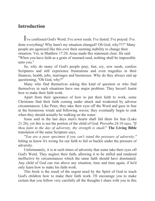## <span id="page-5-0"></span>**Introduction**

I've confessed God's Word. I've sown seeds. I've fasted. I've prayed. I've done everything! Why hasn't my situation changed? Oh God, why?!!!" Many people are agonized like this over their seeming inability to change their situation. Yet, in Matthew 17:20, Jesus made this statement clear. He said "When you have faith as a grain of mustard seed, nothing shall be impossible unto you."

So, why do many of God's people pray, fast, cry, sow seeds, confess Scriptures and still experience frustrations and even tragedies in their finances, health, jobs, marriages and businesses. Why do they always end up questioning, "Oh God, why?"

Many who find themselves asking this kind of question or who find themselves in such situations have one major problem: They haven't learnt how to make their faith work.

Apart from their ignorance of how to put their faith to work, some Christians find their faith coming under attack and weakened by adverse circumstances. Like Peter, they take their eyes off the Word and gaze in fear at the boisterous winds and billowing waves; they eventually begin to sink when they should actually be walking on the water.

Jesus said in the last days men's hearts shall fail them for fear (Luke 21:26), yet this is not the portion of the child of God. Proverbs 24:10 says, *"If thou faint in the day of adversity, thy strength is small*." **The Living Bible** translation of the same Scripture says,

*"You are a poor specimen if you can't stand the pressure of adversity,"* letting us know it's wrong for our faith to fail or buckle under the pressure of adversity.

Unfortunately, it is at such times of adversity that some take their eyes off God's Word. They neglect their faith, allowing it to be stifled and rendered ineffective by circumstances which the same faith should have dominated. Any child of God can rise above any situation, time and time again, if he'd only learn how to make his faith work.

This book is the result of the urgent need by the Spirit of God to teach God's children how to make their faith work. I'll encourage you to make certain that you follow very carefully all the thoughts I share with you in this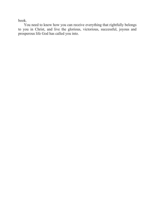book.

You need to know how you can receive everything that rightfully belongs to you in Christ, and live the glorious, victorious, successful, joyous and prosperous life God has called you into.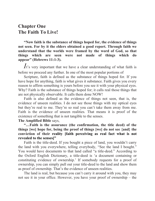## <span id="page-7-0"></span>**Chapter One The Faith To Live!**

**"Now faith is the substance of things hoped for, the evidence of things not seen. For by it the elders obtained a good report. Through faith we understand that the worlds were framed by the word of God, so that things which are seen were not made of things which do appear" (Hebrews 11:1-3).**

*I*t's very important that we have a clear understanding of what faith is before we proceed any further. In one of the most popular portions of

Scripture, faith is defined as the substance of things hoped for. If you have hope for anything, faith is what gives it substance. Faith gives you every reason to affirm something is yours before you see it with your physical eyes. Why? Faith is the substance of things hoped for; it calls real those things that are not physically observable. It calls them done NOW!

Faith is also defined as the evidence of things not seen, that is, the evidence of unseen realities. I do not see those things with my optical eyes but they're real to me. They're so real you can't take them away from me. Faith is the evidence of unseen realities*.* That means it is proof of the existence of something that is not tangible to the senses.

#### **The Amplified Bible** says,

**"…Faith is the assurance (the confirmation, the title deed) of the things [we] hope for, being the proof of things [we] do not see {and} the conviction of their reality [faith perceiving as real fact what is not revealed to the senses]"**

Faith is the title-deed. If you bought a piece of land, you wouldn't carry the land with you everywhere, telling everybody, "See the land I bought." You would have documents to that land called "a title-deed." According to the Oxford English Dictionary, a title-deed is 'a document containing or constituting evidence of ownership.' If somebody requests for a proof of ownership, you can simply pull out your title-deed to the land and show them as proof of ownership. That's the evidence of unseen realities.

The land is real, but because you can't carry it around with you, they may not see it in your office. However, you have your proof of ownership – the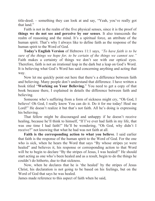title-deed; – something they can look at and say, "Yeah, you've really got that land."

Faith is not in the realm of the five physical senses, since it is the proof of **things we do not see and perceive by our senses**. It also transcends the realm of reasoning and the mind. It's a spiritual force, an attribute of the human spirit. That's why I always like to define faith as the response of the human spirit to the Word of God.

**Today's English Version** of Hebrews 11:1 says, *"To have faith is to be sure of the things we hope for, to be certain of the things we cannot see."* Faith makes a certainty of things we don't see with our optical eyes. Therefore, faith is not an irrational leap in the dark but a leap on God's Word. It is believing what God's Word has said concerning anything and acting that way.

Now let me quickly point out here that there's a difference between faith and believing. Many people don't understand that difference. I have written a book titled "**Working on Your Believing.**" You need to get a copy of that book because there, I explained in details the difference between faith and believing.

Someone who's suffering from a form of sickness might cry, "Oh God, I believe! Oh God, I really know You can do it. Do it for me today! Heal me Lord!" He doesn't realize it but that's not faith. All he's doing is expressing his believing.

That fellow might be discouraged and unhappy if he doesn't receive healing, because he'll think to himself, "If I've ever had faith in my life, that was one time I had faith!" He'll be wondering, "Oh God, why didn't I receive?" not knowing that what he had was not faith at all.

**Faith is the corresponding action to what you believe**. I said earlier that faith is the response of the human spirit to the Word of God. For the one who is sick, when he hears the Word that says "By whose stripes ye were healed" and believes it, his response or corresponding action to that Word will be to begin to declare "By the stripes of Jesus, I was healed!" He should start acting as one who's been healed and as a result, begin to do the things he couldn't do hitherto, due to that sickness.

Now, when he declares that he is 'the healed' by the stripes of Jesus Christ, his declaration is not going to be based on his feelings, but on the Word of God that says he was healed.

James made reference to this aspect of faith when he said,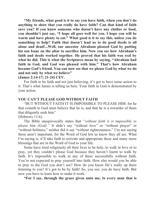**"My friends, what good is it to say you have faith, when you don't do anything to show that you really do have faith? Can that kind of faith save you? If you know someone who doesn't have any clothes or food, you shouldn't just say, "I hope all goes well for you. I hope you will be warm and have plenty to eat." What good is it to say this, unless you do something to help? Faith that doesn't lead us to do good deeds is all alone and dead!...Well, our ancestor Abraham pleased God by putting his son Isaac on the altar to sacrifice him. Now you see how Abraham's faith and deeds worked together. He proved that his faith was real by what he did. This is what the Scriptures mean by saying, "Abraham had faith in God, and God was pleased with him." That's how Abraham became God's friend. You can now see that we please God by what we do and not only by what we believe"**

**(James 2:14-17; 21-24) CEV.**

For faith to be faith and not just believing, it's got to have some action to it. That's what James is telling us here. Your faith in God is demonstrated by your action.

#### **YOU CAN'T PLEASE GOD WITHOUT FAITH**

"BUT WITHOUT FAITH IT IS IMPOSSIBLE TO PLEASE HIM: for he that cometh to God must believe that he is, and that he is a rewarder of them that diligently seek him"

#### (Hebrews 11:6).

The Bible unequivocally states that *"without faith it is impossible to please him (God)."* It didn't say "without love" or "without prayer" or "without holiness;" neither did it say "without righteousness." I'm not saying these aren't important, for the Word of God lets us know they all are. What I'm saying is, it'll take faith to activate and appropriate these and many more blessings that are in the Word of God to your life.

Some have tried religiously all their lives to be holy, to walk in love or to pray, yet they couldn't please God because they haven't learnt to walk by faith. It's impossible to walk in any of these successfully without faith. You're not expected to pray yourself into faith. How else would you be able to pray to the God you don't see? How do you know He's really up there listening to you? It's got to be by faith! So, you see, you do have faith. But now you have to learn how to make it work.

**"For I say, through the grace given unto me, to every man that is**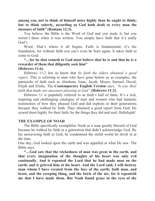**among you, not to think of himself more highly than he ought to think; but to think soberly, according as God hath dealt to every man the measure of faith" (Romans 12:3).**

You believe the Bible is the Word of God and you study it, but you weren't there when it was written. You simply have faith that it's really God's

Word. That's where it all begins. Faith is fundamental; it's the foundation, for without faith you can't even be born again. It takes faith to come to God;

**"…for he that cometh to God must believe that he is and that he is a rewarder of them that diligently seek him" (Hebrews 11:6).**

Hebrews 11:2 lets us know that *by faith the elders obtained a good report*. This is referring to men who have gone before us as examples, the patriarchs of faith such as Abraham, Isaac, Jacob, Moses, Samuel, David, Elijah and Elisha. The **Contemporary English Version** says, *"It was their faith that made our ancestors pleasing to God"* **(Hebrews 11:2).**

Hebrews 11 is popularly referred to as faith's hall of fame. It's a rich, inspiring and challenging catalogue of men and women who had fantastic testimonies of how they pleased God and did exploits in their generations because they walked by faith. They obtained a good report from God. He scored them highly for their faith, by the things they did and said, Hallelujah!

#### **THE EXAMPLE OF NOAH**

The Bible specifically exemplifies Noah as a man greatly blessed of God because he walked by faith in a generation that didn't acknowledge God. By his unwavering faith in God, he condemned the sinful world he dwelt in at the time.

One day, God looked upon the earth and was appalled at what He saw. The Bible says,

**"…God saw that the wickedness of man was great in the earth, and that every imagination of the thoughts of his heart was only evil continually. And it repented the Lord that he had made man on the earth, and it grieved him at his heart. And the Lord said, I will destroy man whom I have created from the face of the earth; both man, and beast, and the creeping thing, and the fowls of the air; for it repenteth me that I have made them. But Noah found grace in the eyes of the**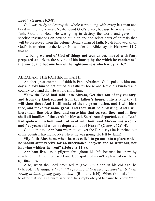#### **Lord" (Genesis 6:5-8).**

God was ready to destroy the whole earth along with every last man and beast in it, but one man, Noah, found God's grace, because he was a man of faith. God told Noah He was going to destroy the world and gave him specific instructions on how to build an ark and select pairs of animals that will be preserved from the deluge. Being a man of faith, Noah followed all of God's instructions to the letter. No wonder the Bible says in **Hebrews 11:7** that he:

**"…being warned of God of things not seen as yet, moved with fear, prepared an ark to the saving of his house; by the which he condemned the world, and became heir of the righteousness which is by faith."**

#### ABRAHAM: THE FATHER OF FAITH

Another great example of faith is Papa Abraham. God spoke to him one day and told him to get out of his father's house and leave his kindred and country to a land that He would show him.

**"Now the Lord had said unto Abram, Get thee out of thy country, and from thy kindred, and from thy father's house, unto a land that I will shew thee: And I will make of thee a great nation, and I will bless thee, and make thy name great; and thou shalt be a blessing: And I will bless them that bless thee, and curse him that curseth thee: and in thee shall all families of the earth be blessed. So Abram departed, as the Lord had spoken unto him; and Lot went with him: and Abram was seventy and five years old when he departed out of Haran" (Genesis 12:1-4).**

God didn't tell Abraham where to go, yet the Bible says he launched out of his country, having no idea where he was going. He left by faith!

**"By faith Abraham, when he was called to go out into a place which he should after receive for an inheritance, obeyed; and he went out, not knowing whither he went" (Hebrews 11:8).**

Abraham lived as a pilgrim throughout his life because he knew by revelation that the Promised Land God spoke of wasn't a physical one but a spiritual one.

Also, when the Lord promised to give him a son in his old age, he believed. *"He staggered not at the promise of God through unbelief; but was strong in faith, giving glory to God"* **(Romans 4:20).** When God asked him to offer that son as a burnt sacrifice, he simply obeyed because he knew "*that*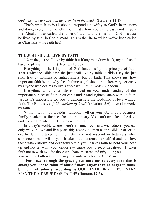*God was able to raise him up, even from the dead"* (Hebrews 11:19).

That's what faith is all about - responding swiftly to God's instructions and doing everything He tells you. That's how you can please God in your life. Abraham was called 'the father of faith' and 'the friend of God' because he lived by faith in God's Word. This is the life to which we've been called as Christians – the faith life!

#### **THE JUST SHALL LIVE BY FAITH**

"Now the just shall live by faith: but if any man draw back, my soul shall have no pleasure in him" (Hebrews 10:38).

Everything in the Kingdom of God functions by the principle of faith. That's why the Bible says the just shall live by faith. It didn't say the just shall live by holiness or righteousness, but by faith. This shows just how important faith is and why the 'faithmessage' should be taken very seriously by anyone who desires to live a successful life in God's Kingdom.

Everything about your life is hinged on your understanding of this important subject of faith. You can't understand righteousness without faith, just as it's impossible for you to demonstrate the God-kind of love without faith. The Bible says "*faith worketh by love*" (Galatians 5:6), love also works by faith.

Without faith, you wouldn't function well on your job, in your business, family, academics, finances, health or ministry. You can't even keep the devil under your feet where he belongs without faith!

In today's world, where there's so much evil and wickedness, you can only walk in love and live peaceably among all men as the Bible instructs to do, by faith. It takes faith to listen and not respond in bitterness when someone speaks evil of you. It takes faith to remain unruffled and still love those who criticize and despitefully use you. It takes faith to hold your head up and not let what your critics say cause you to react negatively. It takes faith not to wish evil for those who hate, mistreat and misjudge you.

You see, the faith way is the way, the only way for the Christian.

**"For I say, through the grace given unto me, to every man that is among you, not to think of himself more highly than he ought to think; but to think soberly, according as GOD HATH DEALT TO EVERY MAN THE MEASURE OF FAITH" (Romans 12:3).**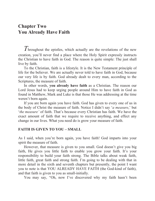## <span id="page-13-0"></span>**Chapter Two You Αlready Have Faith**

*T* hroughout the epistles, which actually are the revelations of the new creation, you'll never find a place where the Holy Spirit expressly instructs the Christian to have faith in God. The reason is quite simple: The just shall live by faith.

To the Christian, faith is a lifestyle. It is the New Testament principle of life for the believer. We are actually never told to have faith in God, because our very life is by faith. God already dealt to every man, according to the Scriptures, the measure of faith.

In other words, **you already have faith** as a Christian. The reason our Lord Jesus had to keep urging people around Him to have faith in God as found in Matthew, Mark and Luke is that those He was addressing at the time weren't born again.

If you are born again you have faith. God has given to every one of us in the body of Christ the measure of faith. Notice I didn't say '*a measure*,' but '*the measure'* of faith. That's because every Christian has faith. We have the exact amount of faith that we require to receive anything, and effect any change in our lives. What you need do is grow your measure of faith.

#### **FAITH IS GIVEN TO YOU – SMALL**

As I said, when you're born again, you have faith! God imparts into your spirit the measure of faith.

However, that measure is given to you small. God doesn't give you big faith, He gives you little faith to enable you grow your faith. It's your responsibility to build your faith strong. The Bible talks about weak faith, little faith, great faith and strong faith. I'm going to be dealing with that in more detail in the sixth and seventh chapters but presently, the point I want you to note is that YOU ALREADY HAVE FAITH (the God-kind of faith), and that faith is given to you as small-initially.

You may say, "Oh, now I've discovered why my faith hasn't been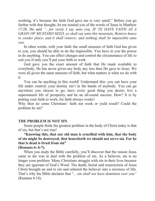working, it's because the faith God gave me is very small." Before you go further with that thought, let me remind you of the words of Jesus in Matthew 17:20. He said *"…for verily I say unto you, IF YE HAVE FAITH AS A GRAIN OF MUSTARD SEED, ye shall say unto this mountain, Remove hence to yonder place; and it shall remove; and nothing shall be impossible unto you.*

In other words, with your faith–the small measure of faith God has given to you, you should be able to do the impossible. You have in you the power to do anything. You can effect changes and control the circumstance of life to suit you if only you'll put your faith to work.

God gave you the exact amount of faith that He made available to everybody. He has never given any body any less than He gave to Jesus. We were all given the same measure of faith, but what matters is what we do with it.

You can be anything in this world! Understand this: you can have your life under control; your destiny isn't in the hands of anybody. You can go anywhere you choose to go; have every good thing you desire; live a supernatural life of prosperity and be an all-round success. How? It is by putting your faith to work, for faith always works!

Why then do some Christians' faith not work or yield result? Could the problem be sin?

#### **THE PROBLEM IS NOT SIN**

Some people think the greatest problem in the body of Christ today is that of sin, but that's not true!

#### **"Knowing this, that our old man is crucified with him, that the body of sin might be destroyed, that henceforth we should not serve sin. For he that is dead is freed from sin"**

#### **(Romans 6: 6-7).**

When you study the Bible carefully, you'll discover that the reason Jesus came to die was to deal with the problem of sin. As a believer, sin is no longer your problem. Many Christians struggle with sin in their lives because they are ignorant of God's Word. The death, burial and resurrection of Jesus Christ brought an end to sin and ushered the believer into a newness of life. That's why the Bible declares that "…*sin shall not have dominion over you"* (Romans 6:14).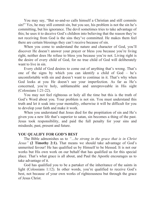You may say, "But so-and-so calls himself a Christian and still commits sin!" Yes, he may still commit sin, but you see, his problem is not the sin he's committing, but his ignorance. The devil sometimes tries to take advantage of this; he uses it to deceive God's children into believing that the reason they're not receiving from God is the sins they've committed. He makes them feel there are certain blessings they can't receive because of sin.

When you come to understand the nature and character of God, you'll discover He doesn't answer your prayer or bless you because you're living right, neither does He refuse to bless you because you're not. Living right is the desire of every child of God, for no true child of God will deliberately want to live in sin.

Every child of God desires to come out of anything that's wrong. That's one of the signs by which you can identify a child of God – he's uncomfortable with sin and doesn't want to continue in it. That's why when God looks at you He doesn't see your imperfection. As far as He's concerned, you're holy, unblameable and unreproveable in His sight (Colossians 1:21-22).

You may not feel righteous or holy all the time but this is the truth of God's Word about you. Your problem is not sin. You must understand this truth and let it soak into your mentality, otherwise it will be difficult for you to develop your faith and make it work.

When you understand that Jesus died for the propitiation of sin and He's given you a new life that's superior to satan, sin becomes a thing of the past. Jesus took responsibility, and paid the full penalty for your sins and misdeeds; past, present and future.

#### **YOU QUALIFY FOR GOD'S BEST**

The Bible admonishes us to *"…be strong in the grace that is in Christ Jesus"* **(2 Timothy 2:1).** That means we should take advantage of God's unmerited favour! He has qualified us by Himself to be blessed. It is not our works but His own work on our behalf that has qualified us for this special place. That's what grace is all about, and Paul the Apostle encourages us to take advantage of it.

God has qualified you to be a partaker of the inheritance of the saints in light (Colossians 1:12). In other words, you're qualified to receive God's best, not because of your own works of righteousness but through the grace of Jesus Christ.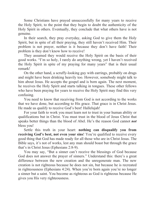Some Christians have prayed unsuccessfully for many years to receive the Holy Spirit, to the point that they begin to doubt the authenticity of the Holy Spirit in others. Eventually, they conclude that what others have is not genuine.

In their search, they pray everyday, asking God to give them the Holy Spirit, but in spite of all their praying, they still haven't received Him. Their problem is not prayer, neither is it because they don't have faith! Their problem is they don't know how to receive!

They assumed they would receive the Holy Spirit on the basis of their good works. "I'm so holy, I rarely do anything wrong, yet I haven't received the Holy Spirit in spite of my praying for many years" that is their usual remark!

On the other hand, a scruffy-looking guy with earrings, probably on drugs and might have been drinking heavily too. However, somebody might talk to him about Jesus. He accepts the gospel and is born again. The next moment, he receives the Holy Spirit and starts talking in tongues. These other fellows who have been praying for years to receive the Holy Spirit may find this very confusing.

You need to know that receiving from God is not according to the works that we have done, but according to His grace. That grace is in Christ Jesus. He made us qualify to receive God's best! Hallelujah!

For your faith to work you must learn not to trust in your human ability or qualifications but in Christ. You must trust in the blood of Jesus Christ that speaks better things than the blood of Abel. He's the reason God cannot *not* bless you!

Settle this truth in your heart: **nothing can disqualify you from receiving God's best, not even your sins**! You're qualified to receive every good thing that God has made ready for all those who are in Christ Jesus. The Bible says, it's not of works, lest any man should boast but through the grace that's in Christ Jesus (Ephesians 2:8-9).

You may say, "But a sinner can't receive the blessings of God because God does not answer the prayer of sinners." Understand this: there's a great difference between the new creation and the unregenerate man. The new creation is not righteous because he does not sin, but because he is recreated in righteousness (Ephesians 4:24). When you're born again you're no longer a sinner but a saint. You become as righteous as God is righteous because He gives you His very righteousness.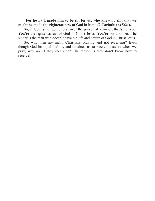**"For he hath made him to be sin for us, who knew no sin; that we might be made the righteousness of God in him" (2 Corinthians 5:21).**

So, if God is not going to answer the prayer of a sinner, that's not you. You're the righteousness of God in Christ Jesus. You're not a sinner. The sinner is the man who doesn't have the life and nature of God in Christ Jesus.

So, why then are many Christians praying and not receiving? Even though God has qualified us, and ordained us to receive answers when we pray, why aren't they receiving? The reason is they don't know how to receive!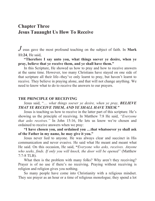## <span id="page-18-0"></span>**Chapter Three Jesus Tauaught Us How To Receive**

*J* esus gave the most profound teaching on the subject of faith. In **Mark 11:24**, He said,

**"Therefore I say unto you, what things soever ye desire, when ye pray, believe that ye receive them, and ye shall have them."**

In this Scripture, He showed us how to pray and how to receive answers at the same time. However, too many Christians have stayed on one side of that scripture all their life--they've only learnt to pray, but haven't learnt to receive. They believe in praying alone, and that will not change anything. We need to know what to do to receive the answers to our prayers.

#### **THE PRINCIPLE OF RECEIVING**

Jesus said, "… *what things soever ye desire, when ye pray, BELIEVE THAT YE RECEIVE THEM, AND YE SHALL HAVE THEM."*

Jesus is teaching us how to receive in the latter part of this scripture. He's showing us the principle of receiving. In Matthew 7:8 He said, *"Everyone that asks receives."* In John 15:16, He lets us know we're chosen and ordained to receive answers when we pray:

**"I have chosen you, and ordained you …that whatsoever ye shall ask of the Father in my name, he may give it you."**

Jesus never lied to anyone. He was always clear and succinct in His communication and never evasive. He said what He meant and meant what He said. On this occasion, He said, **"***Everyone who asks, receives. Anyone who seeks, finds. If only you will knock, the door will be opened"* (Matthew 7:7-8 TLB).

What then is the problem with many folks? Why aren't they receiving? Prayer is of no use if there's no receiving. Praying without receiving is religion and religion gives you nothing.

So many people have come into Christianity with a religious mindset. They see prayer as an hour or a time of religious monologue; they spend a lot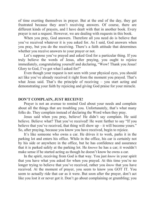of time exerting themselves in prayer. But at the end of the day, they get frustrated because they aren't receiving answers. Of course, there are different kinds of prayers, and I have dealt with that in another book. Every prayer is not a request. However, we are dealing with requests in this book.

When you pray, God answers. Therefore all you need do is believe that you've received whatever it is you asked for. As I said, God answers when you pray, but you do the receiving. There's a faith attitude that determines whether you receive answers to your prayer or not.

Let's suppose you've prayed and asked God for a particular thing. If you truly believe the words of Jesus, after praying, you ought to rejoice immediately, congratulating yourself and declaring, "Wow! Thank you Jesus! Glory to God, I've got what I asked for!"

Even though your request is not seen with your physical eyes, you should act like you've already received it right from the moment you prayed. That's what Jesus said. That's the principle of receiving – you start acting and demonstrating your faith by rejoicing and giving God praise for your miracle.

#### **DON'T COMPLAIN, JUST RECEIVE!**

Prayer is not an avenue to remind God about your needs and complain about all the things that are troubling you. Unfortunately, that's what many folks do. They complain instead of declaring the Word when they pray.

Jesus said when you pray, believe! He didn't say complain. He said believe. Believe what? That you've received! He went further to say "If you believe that you've received, that thing will show  $up - it$  will become yours." So, after praying, because you know you have received, begin to rejoice.

It's like someone who owns a car. He drives it to work, parks it in the parking lot and enters his office. While in the office, his car is certainly not by his side or anywhere in the office, but he has confidence and assurance that it is parked safely at the parking lot. He *knows* he has a car; it wouldn't make sense if he started acting as though he doesn't know he owns a car.

In the spirit, receiving from God is that way. You just *know* in your spirit that you have what you asked for when you prayed. At this time you're no longer trying to believe that you've received, rather you *know* that you have received. At the moment of prayer, you seem to know you GOT IT. You seem to actually ride that car as it were. But soon after the prayer, don't act like you lost it or never got it. Don't go about complaining or grumbling; you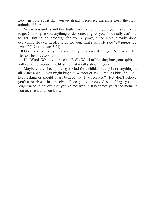*know* in your spirit that you've already received, therefore keep the right attitude of faith.

When you understand this truth I'm sharing with you, you'll stop trying to get God to give you anything or do something for you. You really can't try to get Him to do anything for you anyway, since He's already done everything He ever needed to do for you. That's why He said "*all things are yours"* (1 Corinthians 3:21).

All God expects from you now is that you *receive* all things. Receive all that He says belongs to you in

His Word. When you receive God's Word of blessing into your spirit, it will certainly produce the blessing that it talks about in your life.

Maybe you've been praying to God for a child, a new job, or anything at all. After a while, you might begin to wonder or ask questions like "Should I keep asking or should I just believe that I've received?" No, don't believe you've received. Just receive! Once you've received something, you no longer need to believe that you've received it. It becomes yours the moment you receive it and you know it.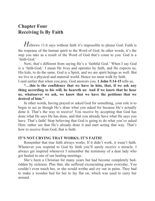## <span id="page-21-0"></span>**Chapter Four Receiving Is By Faith**

*H*ebrews 11:6 says without faith it's impossible to please God. Faith is the response of the human spirit to the Word of God. In other words, it's the step you take as a result of the Word of God that's come to you. God is a 'faith-God.'

Now, that's different from saying He's a 'faithful God.' When I say God is a 'faith-God,' I mean He lives and operates by faith, and He expects us, His kids, to do the same. God is a Spirit, and we are spirit beings as well. But we live in a physical and material world. Hence we must walk by faith. I said earlier that when you pray, God answers you. **1 John 5:14-15** tells us,

**"…this is the confidence that we have in him, that, if we ask any thing according to his will, he heareth us: And if we know that he hear us, whatsoever we ask, we know that we have the petitions that we desired of him."**

In other words, having prayed or asked God for something, your role is to begin to act as though He's done what you asked for because He's actually done it. That's the way to receive! You receive by accepting that God has done what He says He has done, and that you already have what He says you have. That's faith! Stop believing that God is going to do what you've asked Him; rather see that He's already done it and start acting that way. That's how to receive from God; that is faith.

#### **IT'S NOT CRYING THAT WORKS; IT'S FAITH!**

Remember that true faith always works. If it didn't work, it wasn't faith. Whenever you respond to God by faith you'll surely receive a miracle. I always get inspired whenever I remember the testimony of a dear lady who got healed in one of our healing meetings.

She's been a Christian for many years but had become completely bedridden by sickness. Plus that, she suffered excruciating pains everyday. You couldn't even touch her, or she would writhe and cry out in pains. They had to make a wooden bed for her to lay flat on, which was used to carry her around.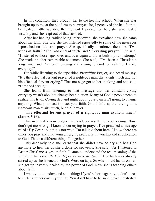In this condition, they brought her to the healing school. When she was brought up to me at the platform to be prayed for, I perceived she had faith to be healed. Little wonder, the moment I prayed for her, she was healed instantly and she leapt out of that sickbed.

After her healing, whilst being interviewed, she explained how she came about her faith. She said she had listened repeatedly to some of the messages I preached on faith and prayer. She specifically mentioned the titles **'Two kinds of faith, ' 'The Godkind of faith'** and **'Prevailing prayer***.'* She said, "I listened to those tapes over and over again and that built my faith strong." She made another remarkable statement. She said, "I've been a Christian a long time, and I've been praying and crying to God to heal me. I cried everyday!"

But while listening to the tape titled *Prevailing Prayer,* she heard me say, "It's the effectual fervent prayer of a righteous man that avails much and not his effectual fervent crying." That message got to her thinking and she said, "I stopped crying."

She learnt from listening to that message that her constant crying everyday wasn't about to change her situation. Many of God's people need to realize this truth. Crying day and night about your pain isn't going to change anything. What you need is to act your faith. God didn't say the 'crying' of a righteous man avails much, but the 'prayer.'

#### **"The effectual fervent prayer of a righteous man availeth much" (James 5:16).**

This means it's your prayer that produces result, not your crying. Now, don't get me wrong; I know about crying in prayer. I've preached a message titled *'Try Tears*' but that's not what I'm talking about here. I know there are times you pray and find yourself crying profusely in worship and supplication to God. That's a different thing all together.

This dear lady said she learnt that she didn't have to cry and beg God anymore to heal her as she'd done for six years. She said, "As I listened to Pastor Chris' messages on faith, I came to understand the real meaning of the scripture that says "*By His stripes ye were healed.""* Her faith was already stirred up as she listened to God's Word on tape. So when I laid hands on her, she got up instantly healed by the power of God. Now she is teaching others about faith.

I want you to understand something: if you're born again, you don't need to suffer another day in your life. You don't have to be sick, broke, frustrated,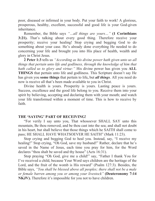poor, diseased or infirmed in your body. Put your faith to work! A glorious, prosperous, healthy, excellent, successful and good life is your God-given inheritance.

Remember, the Bible says *"…all things are yours…"* **(1 Corinthians 3:21).** That's talking about every good thing. Therefore receive your prosperity; receive your healing! Stop crying and begging God to do something about your case. He's already done everything He needed to do concerning your life and brought you into His place of health, wealth and glory in Christ Jesus.

**2 Peter 1:3** tells us *"According as his divine power hath given unto us all things that pertain unto life and godliness, through the knowledge of him that hath called us to glory and virtue:"* His divine power has given you **ALL THINGS** that pertain unto life and godliness. This Scripture doesn't say He has given you **some things** that pertain to life**,** but *all things*. All you need do now is receive all that's been made available to you in Christ.

Divine health is yours. Prosperity is yours. Lasting peace is yours. Success, excellence and the good life belong to you. Receive them into your spirit by believing, accepting and declaring them with your mouth; and watch your life transformed within a moment of time. This is how to receive by faith.

#### **THE 'SAYING' PART OF RECEIVING!**

"For verily I say unto you, That whosoever SHALL SAY unto this mountain, Be thou removed, and be thou cast into the sea; and shall not doubt in his heart, but shall believe that those things which he SAITH shall come to pass; HE SHALL HAVE WHATSOEVER HE SAITH" (Mark 11:23).

Stop crying and begging God to heal you. Instead, say, "I receive my healing!" Stop crying, "Oh God, save my husband!" Rather, declare that he's saved in the Name of Jesus, each time you pray for him, for the Word declares "thou shalt be saved and thy house" (Acts 16:31).

Stop praying "Oh God, give me a child!" say, "Father I thank You for I've received a child, because Your Word says children are the heritage of the Lord, and the fruit of the womb is His reward" (Psalm 127:3). Besides, the Bible says, *"You shall be blessed above all peoples; there shall not be a male or female barren among you or among your livestock"* **(Deuteronomy 7:14 NKJV).** Therefore it's impossible for you not to have children.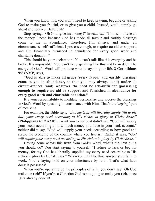When you know this, you won't need to keep praying, begging or asking God to make you fruitful, or to give you a child. Instead, you'll simply go ahead and receive, Hallelujah!

Stop saying, "Oh God, give me money!" Instead, say, "I'm rich; I have all the money I need because God has made all favour and earthly blessings come to me in abundance. Therefore, I'm always, and under all circumstances, self-sufficient. I possess enough, to require no aid or support; and I'm financially furnished in abundance for every good work and charitable donation."

This should be your declaration! You can't talk like this everyday and be broke. It's impossible! You can't keep speaking like this and be in debt. The energy of God's Word will produce what it says in your life. **2 Corinthians 9:8 (AMP)** says,

**"God is able to make all grace (every favour and earthly blessing) come to you in abundance, so that you may always {and} under all circum-stances {and} whatever the need be self-sufficient [possessing enough to require no aid or support and furnished in abundance for every good work and charitable donation."**

It's your responsibility to meditate, personalize and receive the blessings in God's Word by speaking in consonance with Him. That's the '*saying'* part of receiving.

For example, the Bible says, *"And my God will liberally supply (fill to the full) your every need according to His riches in glory in Christ Jesus"* **(Philippians 4:19 AMP).** I want you to notice it didn't say, "God will supply your needs according to how much money you have in your bank account," neither did it say, "God will supply your needs according to how good and stable the economy of the country where you live is." Rather it says, "*God will supply your every need according to His riches in glory by Christ Jesu*s."

Having come across this truth from God's Word, what's the next thing you should do? You start saying to yourself: "I refuse to lack or beg for money, for my God has liberally supplied my every need according to His riches in glory by Christ Jesus." When you talk like this, you put your faith to work. You're laying hold on your inheritance by faith. That's what faith does; it possesses!

When you're operating by the principles of faith, you don't say "Oh God make me rich!" If you're a Christian God is not going to make you rich, since He's already done it!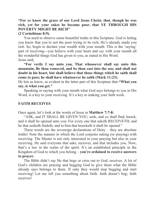#### **"For ye know the grace of our Lord Jesus Christ, that, though he was rich, yet for your sakes he became poor, that YE THROUGH HIS POVERTY MIGHT BE RICH"**

#### **(2 Corinthians 8:9).**

You need to observe some beautiful truths in this Scripture. God is letting you know that you're not the poor trying to be rich; He's already made you rich. So, begin to declare your wealth with your mouth. This is the 'saying' part of receiving---you believe with your heart and *say* with your mouth all the wonderful things God has given to you, as stated in His Word. Jesus said,

**"For verily I say unto you, That whosoever shall say unto this mountain, Be thou removed, and be thou cast into the sea; and shall not doubt in his heart, but shall believe that those things which he saith shall come to pass; he shall have whatsoever he saith (Mark 11:23).**

He lets us know, as evident in the latter part of this Scripture that **"What you say, is what you get."**

Speaking or saying with your mouth what God says belongs to you in His Word, is a key to your receiving. It's a key to making your faith work.

#### **FAITH RECEIVES**

Once again, let's look at the words of Jesus in **Matthew 7:7-8:**

"ASK, and IT SHALL BE GIVEN YOU; seek, and ye shall find; knock, and it shall be opened unto you: For every one that asketh RECEIVETH; and he that seeketh findeth; and to him that knocketh it shall be opened."

These words are the sovereign declarations of Deity – they are absolute truths! Note the manner in which the Lord conjoins asking (or praying) with receiving. The Master is not only interested in your praying but also in your receiving. He said everyone that asks, receives, and that includes you. Now, that's a law in the realm of the spirit. It's an established principle in the Kingdom of God to which you belong – **you're ordained to receive answers to prayer.**

The Bible didn't say He that begs or cries out to God, receives. A lot of God's children are praying and begging God to give them what the Bible already says belongs to them. If only they would stop begging and start receiving! Let me tell you something about faith: faith doesn't beg; faith receives!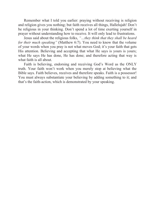Remember what I told you earlier: praying without receiving is religion and religion gives you nothing; but faith receives all things, Hallelujah! Don't be religious in your thinking. Don't spend a lot of time exerting yourself in prayer without understanding how to receive. It will only lead to frustrations.

Jesus said about the religious folks, *"…they think that they shall be heard for their much speaking"* (Matthew 6:7). You need to know that the volume of your words when you pray is not what moves God; it's your faith that gets His attention. Believing and accepting that what He says is yours is yours; what He says He has done, He has done; and therefore acting that way is what faith is all about.

Faith is believing, endorsing and receiving God's Word as the ONLY truth. Your faith won't work when you merely stop at believing what the Bible says. Faith believes, receives and therefore speaks. Faith is a possessor! You must always substantiate your believing by adding something to it; and that's the faith-action, which is demonstrated by your speaking.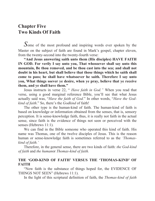## <span id="page-27-0"></span>**Chapter Five Two Kinds Of Faith**

*S*ome of the most profound and inspiring words ever spoken by the Master on the subject of faith are found in Mark's gospel, chapter eleven, from the twenty-second into the twenty-fourth verse:

**"And Jesus answering saith unto them (His disciples) HAVE FAITH IN GOD. For verily I say unto you, That whosoever shall say unto this mountain, Be thou removed, and be thou cast into the sea; and shall not doubt in his heart, but shall believe that those things which he saith shall come to pass; he shall have whatsoever he saith. Therefore I say unto you, What things soever ye desire, when ye pray, believe that ye receive them, and ye shall have them."**

Jesus instructs in verse 22, " *Have faith in God."* When you read that verse, using a good marginal reference Bible, you'll see that what Jesus actually said was, "*Have the faith of God.*" In other words, "*Have the Godkind of faith*." So, there's the *Godkind* of faith!

The other type is the human-kind of faith. The human-kind of faith is based on knowledge or information obtained from the senses, that is, sensory perception. It is sense-knowledge faith, thus, it is really not faith in the actual sense, since faith is the evidence of things not seen or perceived with the senses (Hebrews 11:1).

We can find in the Bible someone who operated this kind of faith. His name was Thomas, one of the twelve disciples of Jesus. This is the reason human or sense-knowledge faith is sometimes referred to as the *'Thomaskind of faith.'*

Therefore, in the general sense, there are two kinds of faith: *the God-kind of faith* and *the human*or *Thomas-kind of faith.*

#### **THE 'GOD-KIND OF FAITH' VERSUS THE 'THOMAS-KIND' OF FAITH**

"Now faith is the substance of things hoped for, the EVIDENCE OF THINGS NOT SEEN" (Hebrews 11:1).

In the light of this scriptural definition of faith, the *Thomas-kind of faith*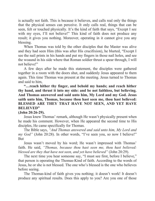is actually not faith. This is because it believes, and calls real only the things that the physical senses can perceive. It only calls real, things that can be seen, felt or touched physically. It's the kind of faith that says, "Except I see with my eyes, I'll not believe!" This kind of faith does not produce any result; it gives you nothing. Moreover, operating in it cannot give you any blessing.

When Thomas was told by the other disciples that the Master was alive and they had seen Him (this was after His crucifixion), he blurted, "Except I see the nail prints in his hands and put my fingers in those nail holes, and see the woaund in his side where that Roman soldier thrust a spear through, I will not believe!"

A few days after he made this statement, the disciples were gathered together in a room with the doors shut, and suddenly Jesus appeared to them again. This time Thomas was present at the meeting. Jesus turned to Thomas and said to him,

**"…reach hither thy finger, and behold my hands; and reach hither thy hand, and thrust it into my side: and be not faithless, but believing. And Thomas answered and said unto him, My Lord and my God. Jesus saith unto him, Thomas, because thou hast seen me, thou hast believed: BLESSED ARE THEY THAT HAVE NOT SEEN, AND YET HAVE BELIEVED"**

#### **(John 20:26-29).**

Jesus knew Thomas' remark, although He wasn't physically present when he made his comment. However, when He appeared the second time to His disciples, He came specifically for Thomas.

The Bible says, *"And Thomas answered and said unto him, My Lord and my God*" (John 20:28). In other words, "I've seen you, so now I believe!" But

Jesus wasn't moved by his word; He wasn't impressed with Thomas' faith. He said, *"Thomas, because thou hast seen me, thou hast believed: blessed are they that have not seen, and yet have believed"* (John 20:29).

The next time you hear someone say, "I must see first, before I believe," that person is operating the Thomas-Kind of faith. According to the words of Jesus, he or she is not blessed. The one who's blessed is the one who believes before seeing.

The Thomas-kind of faith gives you nothing; it doesn't work! It doesn't produce any spiritual results. Does this apply to you? Are you one of those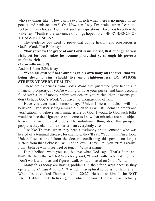who say things like, "How can I say I'm rich when there's no money in my pocket and bank account?" Or "How can I say I'm healed when I can still feel pain in my body?" Don't ask such silly questions. Have you forgotten the Bible says "Faith is the substance of things hoped for, THE EVIDENCE OF THINGS NOT SEEN?"

The evidence you need to prove that you're healthy and prosperous is God's Word. The Bible says,

**"For ye know the grace of our Lord Jesus Christ, that, though he was rich, yet for your sakes he became poor, that ye through his poverty might be rich**

#### **(2 Corinthians 8:9).**

And in 1 Peter 2:24, it says,

**"Who his own self bare our sins in his own body on the tree, that we, being dead to sins, should live unto righteousness: BY WHOSE STRIPES YE WERE HEALED."**

These are evidences from God's Word that guarantee your health and financial prosperity. If you're waiting to have your pocket and bank account filled with a lot of money before you declare you're rich, then it means you don't believe God's Word. You have the Thomas-kind of faith.

Have you ever heard someone say, "Unless I see a miracle, I will not believe?" Even after seeing a miracle, such folks will still demand proofs and verifications to believe such miracles are of God. I would to God such folks would realize their ignorance and come to know that miracles are not subject to scientific or empirical proofs. The unfortunate thing about this group of people is they claim to be smarter than everybody else.

Just like Thomas, when they hear a testimony about someone who was healed of a terminal disease, for example, they'll say, "You think I'm a fool? Unless I see a proof from the doctors, confirming this person no longer suffers from that sickness, I will not believe." They'll tell you, "I'm a realist; I only believe what I see, feel or touch." What a shame!

Don't believe what you see, believe what God says! That's faith, and that's the faith that **works**! Somebody said, "I work with facts and figures." Don't work with facts and figures; walk by faith, based on God's Word.

Many folks today are having problems in their faith walk because they operate the *Thomas-kind of faith* which in scriptural sense is not faith at all. When Jesus rebuked Thomas in John 20:27, He said to him "…**be NOT FAITHLESS, but believing…"** which means Thomas was actually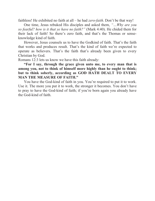faithless! He exhibited no faith at all – he had *zero-faith*. Don't be that way!

One time, Jesus rebuked His disciples and asked them, *"…Why are you so fearful? how is it that ye have no faith?"* (Mark 4:40). He chided them for their lack of faith! So there's zero faith, and that's the Thomas or senseknowledge kind of faith.

However, Jesus counsels us to have the Godkind of faith. That's the faith that works and produces result. That's the kind of faith we're expected to operate as believers. That's the faith that's already been given to every Christian by God.

Romans 12:3 lets us know we have this faith already:

**"For I say, through the grace given unto me, to every man that is among you, not to think of himself more highly than he ought to think; but to think soberly, according as GOD HATH DEALT TO EVERY MAN THE MEASURE OF FAITH."**

You have the God-kind of faith in you. You're required to put it to work. Use it. The more you put it to work, the stronger it becomes. You don't have to pray to have the God-kind of faith; if you're born again you already have the God-kind of faith.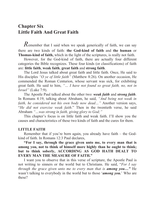## <span id="page-31-0"></span>**Chapter Six Little Faith Αnd Great Faith**

*Remember that I said when we speak generically of faith, we can say* there are two kinds of faith: **the God-kind of faith** and **the human** or **Thomas-kind of faith,** which in the light of the scriptures, is really not faith.

However, for the God-kind of faith, there are actually four different categories the Bible recognizes. These four kinds (or classifications) of faith are: **little faith**, **weak faith**, **great faith** and **strong faith**.

The Lord Jesus talked about great faith and little faith. Once, He said to His disciples *"O ye of little faith"* (Matthew 8:26). On another occasion, He commended the Roman Centurion, whose servant was sick, for exhibiting great faith. He said to him, *"… I have not found so great faith, no, not in Israel"* (Luke 7:9).

The Apostle Paul talked about the other two: *weak faith* and *strong faith*. In Romans 4:19, talking about Abraham, he said, *"And being not weak in faith, he considered not his own body now dead…"* Another version says, "*He did not exercise weak faith*." Then in the twentieth verse, he said Abraham *"…was strong in faith, giving glory to God;"*

This chapter's focus is on little faith and weak faith. I'll show you the causes and characteristics of these two kinds of faith and the cures for them.

#### **LITTLE FAITH**

Remember that if you're born again, you already have faith – the Godkind of faith. In Romans 12:3 Paul declares,

**"For I say, through the grace given unto me, to every man that is among you, not to think of himself more highly than he ought to think; but to think soberly, ACCORDING AS GOD HATH DEALT TO EVERY MAN THE MEASURE OF FAITH."**

I want you to observe that in this verse of scripture, the Apostle Paul is not writing to sinners or the world but to Christians. He said, "*For I say through the grace given unto me to every man that is among you…"* He wasn't talking to everybody in the world but to those '*among you.*' Who are these?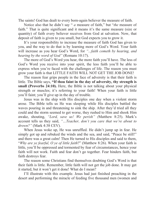The saints! God has dealt to every born-again believer the measure of faith.

Notice also that he didn't say " *a* measure of faith," but "*the* measure of faith." That is quite significant and it means it's the same measure (size or quantity) of faith every believer receives from God at salvation. Now, that deposit of faith is given to you small, but God expects you to grow it.

It's your responsibility to increase the measure of faith God has given to you, and the way to do that is by learning more of God's Word. Your faith will increase as you hear God's Word, for *"...faith cometh by hearing, and hearing by the word of God"* (Romans 10:17).

The more of God's Word you hear, the more faith you'll have. The less of God's Word you receive into your spirit, the less faith you'll be able to express when you're faced with the challenges of life. The reason you must grow your faith is that LITTLE FAITH WILL NOT GET THE JOB DONE!

The reason fear grips people in the face of adversity is that their faith is little. The Bible says, **"If thou faint in the day of adversity, thy strength is small (Proverbs 24:10).** Here, the Bible is not talking about your physical strength or muscles; it's referring to your faith! When your faith is little you'll faint; you'll give up in the day of trouble.

Jesus was in the ship with His disciples one day when a violent storm arose. The Bible tells us He was sleeping while His disciples battled the waves pouring in and threatening to sink the ship. After they'd tried all they could and the storm seemed to get worse, they rushed to Him and shook Him awake, shouting, *"Lord, save us! We perish" (*Matthew 8:25). Mark's account tells us they said, *"…Teacher, don't you care that we're about to drown?"* (Mark 4:38 CEV).

When Jesus woke up, He was unruffled. He didn't jump up in fear. He simply got up and rebuked the winds and the sea, and said, "Peace be still!" and there was a great calm! Then He turned to His disciples and said to them, "*Why are ye fearful, O ye of little faith*?" (Matthew 8:26). When your faith is little, you'll be oppressed and tormented by fear of circumstances, hence your faith will not work. Faith and fear don't go together. Fear hinders faith, but faith destroys fear.

The reason some Christians find themselves doubting God's Word is that their faith is little. Remember, little faith will not get the job done. It may get it started, but it won't get it done! What do I mean?

I'll illustrate with this example. Jesus had just finished preaching in the desert and performing the miracle of feeding five thousand men (women and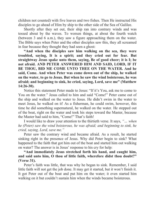children not counted) with five loaves and two fishes. Then He instructed His disciples to go ahead of Him by ship to the other side of the Sea of Galilee.

Shortly after they set out, their ship ran into contrary winds and was tossed about by the waves. To worsen things, at about the fourth watch (between 3 and 6 a.m.), they saw a figure approaching them on the water. The Bible says when Peter and the other disciples saw this, they all screamed in fear because they thought they had seen a ghost:

**"And when the disciples saw him walking on the sea, they were troubled, saying, It is a spirit; and they cried out for fear. But straightway Jesus spake unto them, saying, Be of good cheer; it is I; be not afraid. AND PETER ANSWERED HIM AND SAID, LORD, IF IT BE THOU, BID ME COME UNTO THEE ON THE WATER. And he said, Come. And when Peter was come down out of the ship, he walked on the water, to go to Jesus. But when he saw the wind boisterous, he was afraid; and beginning to sink, he cried, saying, Lord, save me" (Matthew 14:26-30).**

Notice this statement Peter made to Jesus: "If it's You, ask me to come to You on the water." Jesus called to him and said "Come!" Peter came out of the ship and walked on the water to Jesus. He didn't swim in the water to meet Jesus, he walked on it! As a fisherman, he could swim, however, this time he did something supernatural, he walked on the water. He stepped out of the boat, right on the water and took his steps toward the Master, because the Master had said to him, "Come!" That's faith!

I would like to draw your attention to the thirtieth verse. It says, *"… when he (Peter) saw the wind boisterous, he was afraid; and beginning to sink, he cried, saying, Lord, save me."*

Peter saw the contrary wind and became afraid. As a result, he started sinking right in the presence of Jesus. Why did Peter begin to sink? What happened to the faith that got him out of the boat and started him out walking on water? The answer is in Jesus' response to his cry for help:

**"And immediately Jesus stretched forth his hand, and caught him, and said unto him, O thou of little faith, wherefore didst thou doubt?" (Verse 31).**

Peter's faith was little, that was why he began to sink. Remember, I said little faith will not get the job done. It may get it started, but it won't finish it. It got Peter out of the boat and put him on the water; it even started him walking on it but couldn't sustain him when the winds became boisterous.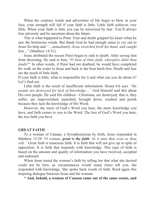When the contrary winds and adversities of life begin to blow in your face, your strength will fail if your faith is little. Little faith achieves very little. When your faith is little you can be terrorized by fear. You'll always fear adversity and be uncertain about the future.

This is what happened to Peter. Fear and doubt gripped his heart when he saw the boisterous winds. But thank God he had enough sense to cry out to Jesus for help and *"…immediately Jesus stretched forth his hand, and caught him*..." (Matthew 14:31).

Jesus attributed the reason Peter began to sink to doubt. After saving him from drowning, He said to him, "*O thou of little faith, wherefore didst thou doubt?*" In other words, if Peter had not doubted, he would have completed his walk on the water to Jesus and back to the boat hitch-free. Doubt and fear are the result of little faith.

If your faith is little, what is responsible for it and what can you do about it? Let's find out.

Little faith is the result of insufficient information. Hosea 4:6 says *"My people are destroyed for lack of knowledge…"* God Himself said this about His own people. He said His children - Christians, are destroyed, that is, they suffer, are impoverished, punished, brought down, crushed and perish because they lack the knowledge of His Word.

However, the more of God's Word you hear, the more knowledge you have, and faith comes to you in the Word. The less of God's Word you hear, the less faith you have.

#### **GREAT FAITH**

To a woman of Canaan, a Syrophoenician by birth, Jesus responded in Matthew 15:28 "*O woman, great is thy faith: be it unto thee even as thou wilt.*" Great faith is tenacious faith. It is faith that will not give up in spite of opposition. It is faith that responds with knowledge. This type of faith is based on the amount and quality of information you have received, accepted and endorsed.

When Jesus tested the woman's faith by telling her that what she desired could not be hers, as circumstances would many times tell you, she responded with knowledge. She spoke back words of faith. Read again this inspiring dialogue between Jesus and the woman:

**" And, behold, a woman of Canaan came out of the same coasts, and**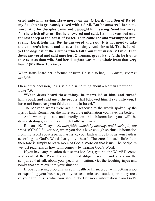**cried unto him, saying, Have mercy on me, O Lord, thou Son of David; my daughter is grievously vexed with a devil. But he answered her not a word. And his disciples came and besought him, saying, Send her away; for she crieth after us. But he answered and said, I am not sent but unto the lost sheep of the house of Israel. Then came she and worshipped him, saying, Lord, help me. But he answered and said, It is not meet to take the children's bread, and to cast it to dogs. And she said, Truth, Lord: yet the dogs eat of the crumbs which fall from their masters' table. Then Jesus answered and said unto her, O woman, great is thy faith: be it unto thee even as thou wilt. And her daughter was made whole from that very hour" (Matthew 15:22-28).**

When Jesus heard her informed answer, He said to her, *"…woman, great is thy faith.*"

On another occasion, Jesus said the same thing about a Roman Centurion in Luke 7:9;

**"When Jesus heard these things, he marvelled at him, and turned him about, and said unto the people that followed him, I say unto you, I have not found so great faith, no, not in Israel."**

The Master's words were again, a response to the words spoken by the lips of faith. Remember, the more accurate information you have, the better.

And when you act undauntedly on this information, you will be demonstrating great faith or 'much faith' as it were.

Romans 10:17 says, *"So then faith cometh by hearing, and hearing by the word of God."* So you see, when you don't have enough spiritual information from the Word about a particular issue, your faith will be little as your faith is according to God's Word that you've heard. The cure for such little faith therefore is simply to learn more of God's Word on that issue. The Scripture we just read tells us how faith comes – by hearing God's Word.

If you have any situation that seems hopeless, get into the Word! Become a student of the Word by careful and diligent search and study on the scriptures that talk about your peculiar situation. Get the teaching tapes and books that are relevant to your situation.

If you're having problems in your health or finances, or with getting a job or expanding your business, or in your academics as a student, or in any area of your life, this is what you should do. Get more information from God's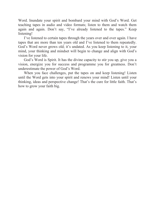Word. Inundate your spirit and bombard your mind with God's Word. Get teaching tapes in audio and video formats; listen to them and watch them again and again. Don't say, "I've already listened to the tapes." Keep listening!

I've listened to certain tapes through the years over and over again. I have tapes that are more than ten years old and I've listened to them repeatedly. God's Word never grows old; it's undated. As you keep listening to it, your mind, your thinking and mindset will begin to change and align with God's vision for your life.

God's Word is Spirit. It has the divine capacity to stir you up, give you a vision, energize you for success and programme you for greatness. Don't underestimate the power of God's Word.

When you face challenges, put the tapes on and keep listening! Listen until the Word gets into your spirit and renews your mind! Listen until your thinking, ideas and perspective change! That's the cure for little faith. That's how to grow your faith big.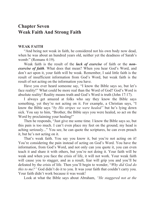## <span id="page-37-0"></span>**Chapter Seven Weak Faith Αnd Strong Faith**

#### **WEAK FAITH**

"And being not weak in faith, he considered not his own body now dead, when he was about an hundred years old, neither yet the deadness of Sarah's womb:" (Romans 4:19).

Weak faith is the result of the *lack of exercise* of faith or the *nonexercise of faith*. What does that mean? When you hear God's Word, and don't act upon it, your faith will be weak. Remember, I said little faith is the result of insufficient information from God's Word, but weak faith is the result of not acting on the information you have.

Have you ever heard someone say, "I know the Bible says so, but let's face reality!" What could be more real than the Word of God? God's Word is absolute reality! Reality means truth and God's Word is truth (John 17:17).

I always get amazed at folks who say they know the Bible says something, yet they're not acting on it. For example, a Christian says, "I know the Bible says "*by His stripes we were healed"* but he's lying down sick. You say to him, "Brother, the Bible says you were healed, so act on the Word by proclaiming your healing!"

Then he responds, "Just give me some time. I know the Bible says so, but this pain is too much. I can't even place my feet on the ground; my head is aching seriously..." You see, he can quote the scriptures, he can even preach it, but he's not acting on it.

That's weak faith. You say you know it, but you're not acting on it! You're considering the pain instead of acting on God's Word. You have the information, from God's Word, and not only can you quote it, you can even teach it and share it with others, but you're not doing it. Your faith will be weak and when you face the crisis of life, it will not work. Your weak faith will cause you to stagger, and as a result, fear will grip you and you'll be defeated by the crisis of life. Then you'll begin to wonder, "*Why did God do this to me?"* God didn't do it to you. It was your faith that couldn't carry you. Your faith didn't work because it was weak!

Look at what the Bible says about Abraham, *"He staggered not at the*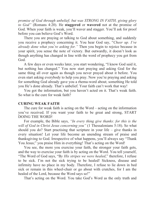*promise of God through unbelief; but was STRONG IN FAITH, giving glory to God"* (Romans 4:20). He **staggered** or **wavered** not at the promise of God. When your faith is weak, you'll waver and stagger. You'll ask for proof before you can believe God's Word.

There you are praying or talking to God about something, and suddenly you receive a prophecy concerning it. You hear God say, "*Cheer up. I've already done what you're asking for."* Then you begin to rejoice because in your spirit, you sense the note of victory. But outwardly, it doesn't look as though anything has changed in line with the word of prophecy you got from God.

A few days or even weeks later, you start wondering, "I know God said it, but nothing has changed." You now start praying and asking God for the same thing all over again as though you never prayed about it before. You even start asking everybody to help you pray. Now you're praying and asking for something God already gave you a rhema-word about; something He told you He's done already. That's unbelief. Your faith can't work that way!

You got the information, but you haven't acted on it. That's weak faith. So what is the cure for weak faith?

#### **CURING WEAK FAITH**

The cure for weak faith is acting on the Word – acting on the information you've received. If you want your faith to be great and strong, START DOING THE WORD!

For example, the Bible says, *"In every thing give thanks: for this is the will of God in Christ Jesus concerning you"* (1 Thessalonians 5:18). So what should you do? Start practising that scripture in your life – give thanks in every situation! Let your life become an unending stream of praise and thanksgiving to God. Irrespective of what happens, you'll always say "Thank You Jesus;" you praise Him in everything! That's acting on the Word!

You see, the more you exercise your faith, the stronger your faith gets, and the way to exercise your faith is by acting on the Word. You tell yourself, "The Word of God says, "B*y His stripes we were healed*," therefore, I refuse to be sick. I'm not the sick trying to be healed! Sickness, disease and infirmity have no place in my body. Therefore, I refuse to lie down in bed sick or remain in this wheel-chair or go about with crutches, for I am the healed of the Lord, because the Word says so!"

That's acting on the Word. You take God's Word as the only truth and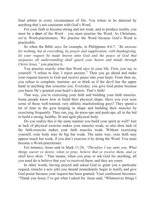final arbiter in every circumstance of life. You refuse to be deterred by anything that's not consistent with God's Word.

For your faith to become strong and not weak, and to produce results, you must be a *doer* of the Word – you must practise the Word. As Christians, we're Word-practitioners. We practise the Word because God's Word is practicable.

So when the Bible says, for example, in Philippians 4:6-7, *"Be anxious for nothing, but in everything, by prayer and supplication, with thanksgiving, let your request be made known unto God and the peace of God that surpasses all understanding shall guard your hearts and minds through Christ Jesus,"* you practise it.

You practise exactly what that Word says in your life. First, you say to yourself: "I refuse to fear, I reject anxiety." Then you go ahead and make your request known to God and receive peace into your heart. From then on, you refuse to complain, murmur, act or think as if the devil has the upper hand in anything that concerns you. Everyday, you give God praise because you know He's granted your heart's desires. That's faith!

That way, you're exercising your faith and building your faith muscles. Some people know how to build their physical shape. Have you ever seen some of those well-trained, very athletic macholooking guys? They spend a lot of time in the gym keeping in shape and building their muscles by exercising frequently. They run, jog, do press-ups and push-ups, all in the bid to build a strong, healthy, fit and agile physical body.

Do you realize this is the same manner you build your spirit as well? Just as lack of physical exercise makes your muscles weak, so also does lack of the faith-exercise makes your faith muscles weak. Without exercising yourself, your body may be big but weak. The same way, your faith may appear much but weak, if you don't exercise it by doing the Word. You must become a Word-practitioner.

For instance, Jesus said in Mark 11:24, *"Therefore I say unto you, What things soever ye desire, when ye pray, believe that ye receive them, and ye shall have them."* That means, when you pray or ask God for anything, all you need do is believe that you've received them, and they are yours.

In other words, having prayed and asked God to grant you a particular request, (maybe a new job) you should immediately begin to testify and give God praise because your request has been granted. Your confession becomes: "Thank you Jesus; I've got what I asked for. Jesus said, "Whatsoever things I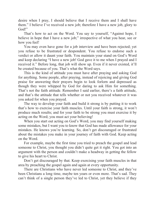desire when I pray, I should believe that I receive them and I shall have them." I believe I've received a new job; therefore I have a new job, glory to God!"

That's how to act on the Word. You say to yourself, "Against hope, I believe in hope that I have a new job;" irrespective of what you hear, see or how you feel!

You may even have gone for a job interview and have been rejected; yet you refuse to be frustrated or despondent. You refuse to endorse such a verdict or allow it daunt your faith. You maintain your stand on God's Word and keep declaring "I have a new job! God gave it to me when I prayed and I received it." Before long, that job will show up. Even if it never existed, it'll be created because of you. That's what the Word says.

This is the kind of attitude you must have after praying and asking God for anything. Some people, after praying, instead of rejoicing and giving God praise for answering their prayers begin to look forlorn and depressed as though they were whipped by God for daring to ask Him for something. That's not the faith attitude. Remember I said earlier, there's a faith attitude, and that's the attitude that tells whether or not you received whatever it was you asked for when you prayed.

The way to develop your faith and build it strong is by putting it to work that's how to exercise your faith muscles. Until your faith is strong, it won't produce much results; and for your faith to be strong you must exercise it by acting on the Word; you must act your believing!

When you start out acting on God's Word, you may find yourself making some mistakes, but I want you to know that God has made allowance for your mistakes. He knows you're learning. So, don't get discouraged or frustrated about the mistakes you make in your journey of faith with God. Keep acting on the Word.

For example, maybe the first time you tried to preach the gospel and lead someone to Christ, you thought you didn't quite get it right. You got into an argument with the person and couldn't make a headway in getting the fellow to give his heart to Christ.

Don't get discouraged by that. Keep exercising your faith muscles in that area by preaching the gospel again and again at every opportunity.

There are Christians who have never led someone to Christ, and they've been Christians a long time, maybe ten years or even more. That's sad. They can't think of a single person they've led to Christ, yet they believe if they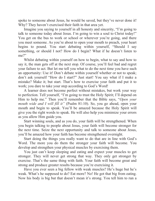spoke to someone about Jesus, he would be saved, but they've never done it! Why? They haven't exercised their faith in that area yet.

Imagine you saying to yourself in all honesty and sincerity, "I'm going to talk to someone today about Jesus. I'm going to win a soul to Christ today!" You get on the bus to work or school or wherever you're going, and there you meet someone. As you're about to open your mouth to preach, your heart begins to pound. You start debating within yourself, "Should I say something, or should I not? How do I begin? What if he doesn't listen to me?"

Whilst debating within yourself on how to begin, what to say and how to say it, the man gets off at the next stop. Of course, you'll feel bad and regret your failure to act. But let me tell you what to do the next time you have such an opportunity: Use it! Don't debate within yourself whether or not to speak; don't ask yourself "How do I start?" Just start! You say what if I make a mistake? Make it; but start. That's how to exercise your faith and put it to work; you dare to take your step according to God's Word!

A learner does not become perfect without mistakes, but work your way to perfection. Tell yourself, "I'm going to trust the Holy Spirit; I'll depend on Him to help me." Then you'll remember that the Bible says, "*Open your mouth wide and I will fill it"* (Psalm 81:10). So, you go ahead, open your mouth and begin to speak. You'll be amazed because the Holy Spirit will give you the right words to speak. He will also help you minimize your errors as you allow Him guide you.

Start winning souls, and as you do, your faith will be strengthened. When you begin talking to people about Jesus, your faith will become stronger for the next time. Seize the next opportunity and talk to someone about Jesus, you'll be amazed how your faith has become strengthened overnight.

Start doing the things you really want to do that are in line with God's Word. The more you do them the stronger your faith will become. You develop and strengthen your physical muscles by exercising them.

You just can't keep sleeping and eating and expect your muscles to get stronger. They will never get strong that way. They only get stronger by exercise. That's the same thing with faith. Your faith will become great and strong and produce greater results because you're exercising it.

Have you ever seen a big fellow with weak muscles? He's huge but he's weak. What's he supposed to do? Eat more? No! He got that big from eating. Now his body is big but that doesn't mean it's strong. You tell him to run a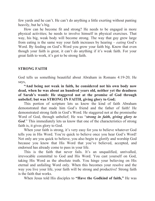few yards and he can't. He can't do anything a little exerting without panting heavily, but he's big.

How can he become fit and strong? He needs to be engaged in more physical activities; he needs to involve himself in physical exercises. That way, his big, weak body will become strong. The way that guy grew large from eating is the same way your faith increases by hearing – *eating* God's Word. By feeding on God's Word you grow your faith big. Know that even though your faith is great, it can't do anything if it's weak faith. For your great faith to work, it's got to be strong faith.

#### **STRONG FAITH**

God tells us something beautiful about Abraham in Romans 4:19-20; He says,

**"And being not weak in faith, he considered not his own body now dead, when he was about an hundred years old, neither yet the deadness of Sarah's womb: He staggered not at the promise of God through unbelief; but was STRONG IN FAITH, giving glory to God;**

This portion of scripture lets us know the kind of faith Abraham demonstrated that made him God's friend and the father of faith! He demonstrated strong faith in God's Word. He staggered not at the promisethe Word of God, through unbelief; He was "*strong in faith, giving glory to God.*" This immediately lets us know that one of the characteristics of strong faith is, it gives glory to God.

When your faith is strong, it's very easy for you to believe whatever God tells you in His Word. You're quick to believe once you hear God's Word! Not only are you quick to believe, you also begin to glorify and worship God because you know that His Word that you've believed, accepted, and endorsed has already come to pass in your life.

This is the faith that never fails. It's an unqualified, unrivalled, irrevocable committal to God and His Word. You cast yourself on God, taking His Word as the absolute truth. You hinge your believing on His eternal and unfailing Word only. When this becomes your resolve and the way you live your life, your faith will be strong and productive! Strong faith is the faith that works.

When Jesus told His disciples to **"Have the Godkind of faith, "** He was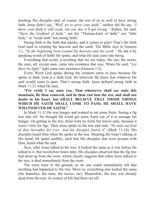teaching His disciples and, of course, the rest of us as well to have strong faith. Jesus didn't say, "*Well, try to grow your faith,"* neither did He say, "*I know your faith is still weak, but one day it'll get strong."* Rather, He said, "*Have the Godkind of faith,"* not the "Thomas-kind of faith;" not "little faith," or "weak faith" but strong faith!

Strong faith is the faith that speaks, and it comes to pass! That's the faith God used in creating the heavens and the earth. The Bible says in Genesis 1:1, "*In the beginning God created the heavens and the earth."* He did it by speaking words of faith! He spoke, and what He said came into being.

Everything that exists, everything that we see today, the sun, the moon, the stars, all, except man, came into existence that way. When He said, "*Let there be light*," light came into existence (Genesis 1:3).

Every Word God spoke during the creation came to pass because He spoke in faith. God is a faith God. He believed; He knew that whatever He said would come to pass. That's strong faith. Jesus defined strong faith in Mark 11:23 when He said,

**"For verily I say unto you, That whosoever shall say unto this mountain, Be thou removed, and be thou cast into the sea; and shall not doubt in his heart, but SHALL BELIEVE THAT THOSE THINGS WHICH HE SAITH SHALL COME TO PASS; HE SHALL HAVE WHATSOEVER HE SAITH."**

In Mark 11:12 He was hungry and wanted to eat some fruits. Seeing a fig tree afar off, He thought He could get some fruits out of it to assuage his hunger. On getting to the tree, there were no fruits but leaves only, because it wasn't time for figs. Then Jesus spoke to the tree and said, "*No man eat fruit of thee hereafter for ever. And his disciples heard it*" (Mark 11:14). His disciples heard Him when He spoke to the tree. Meaning He wasn't talking in His mind; He spoke audibly, such that His disciples that were present with Him, heard what He said.

Now, after Jesus talked to the tree, it looked the same as it was before He talked to it. But twentyfour hours later, His disciples observed that the fig tree had dried up from the roots, which clearly suggests that when Jesus talked to the tree, it died immediately from the roots.

The roots were in the ground, so no one could immediately tell that anything had happened to the tree. More so, everything else looked the same (the branches, the stem, the leaves, etc). Meanwhile, the tree was already dead from the root. Its source of life had been cut off.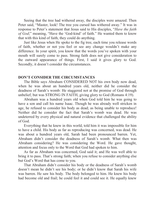Seeing that the tree had withered away, the disciples were amazed. Then Peter said, "Master, look! The tree you cursed has withered away." It was in response to Peter's statement that Jesus said to His disciples, "*Have the faith of God*;" meaning, "Have the 'God-kind' of faith." He wanted them to know that with this kind of faith, they could do anything.

Just like Jesus when He spoke to the fig tree, each time you release words of faith, whether or not you feel or see any change wouldn't make any difference. In your spirit, you know that the words you've spoken with your mouth will surely come to pass. Strong faith does not give consideration to the outward appearance of things. First, I said it gives glory to God. Secondly, it doesn't consider the circumstances.

#### **DON'T CONSIDER THE CIRCUMSTANCES**

The Bible says Abraham CONSIDERED NOT his own body now dead, when he was about an hundred years old, neither did he consider the deadness of Sarah's womb: He staggered not at the promise of God through unbelief; but was STRONG IN FAITH, giving glory to God (Romans 4:19).

Abraham was a hundred years old when God told him he was going to have a son and call his name Isaac. Though he was already well stricken in age, he refused to consider his body as dead; as being unable to reproduce! Neither did he consider the fact that Sarah's womb was dead. He was undeterred by every physical and natural evidence that challenged the ability of God.

Everything that he knew in this world, told him it was impossible for him to have a child. His body as far as reproducing was concerned, was dead. He was about a hundred years old, Sarah had been pronounced barren. Yet, Abraham didn't consider the deadness of Sarah's womb. What then was Abraham considering? He was considering the Word. He gave thought, attention and focus only to the Word that God had spoken to him.

As far as Abraham was concerned, God said it; and He was well able to bring it to pass. That's strong faith; when you refuse to consider anything else but God's Word that has come to you.

That Abraham didn't consider his body or the deadness of Sarah's womb doesn't mean he didn't see his body; or he didn't know that Sarah his wife was barren. He saw his body. The body belonged to him. He knew his body had become old and frail; he could feel it and could see it. He equally knew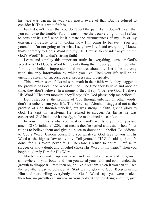his wife was barren; he was very much aware of that. But he refused to consider it! That's what faith is.

Faith doesn't mean that you don't feel the pain. Faith doesn't mean that you can't see the trouble. Faith means "I see the trouble alright, but I refuse to consider it; I refuse to let it dictate the circumstances of my life or my existence. I refuse to let it dictate how I'm going to behave." You tell yourself, "I'm not going to let what I see, how I feel and everything I know that's contrary to God's Word run my life. I refuse to consider anything but God's Word!" Boy, that's strong faith!

Learn and employ this important truth: in everything, consider God's Word only! Let God's Word be the only thing that moves you. Let it be what forms your beliefs, impressions and mindset about life. Let it be the only truth, the only information by which you live. Then your life will be an unending stream of success, peace, progress and prosperity.

This is where some folks miss the mark in their faith-walk; they stagger at the promise of God – the Word of God. One time they believe and another time, they don't believe. In a moment, they'll say "I believe God; I believe His Word." The next moment, they'll say; "Oh God please help me believe."

Don't stagger at the promise of God through unbelief. In other words, don't let unbelief run your life. The Bible says Abraham staggered not at the promise of God through unbelief, but was strong in faith, giving glory to God. He kept on testifying. He refused to stagger. As far as he was concerned, God had done it already, so he maintained his confession.

In your life, this is what you must do. God's words to you are, 'yea and amen' (2 Corinthians 1:20); that means they're settled and established. Your role is to believe them and give no place to doubt and unbelief. Be addicted to God's Word. Groom yourself to see whatever God says to you in His Word as the highest law to live by. Tell yourself, "If God said it, then it's done, for His Word never fails. Therefore I refuse to doubt; I refuse to stagger or allow doubt and unbelief choke His Word in my heart." Then you begin to glorify Him for His Word.

Maybe you woke up one day and suddenly discovered a growth somewhere in your body, and then you acted your faith and commanded the growth to disappear. From then on, do like Abraham. Even if you can still see the growth, refuse to consider it! Start giving glory to God. Keep praising Him and start telling everybody that God's Word says you were healed; therefore no growth can survive in your body. Keep testifying about it; give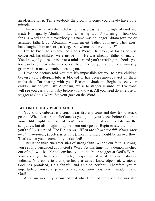an offering for it. Tell everybody the growth is gone; you already have your miracle.

This was what Abraham did which was pleasing in the sight of God and made Him qualify Abraham's faith as strong faith. Abraham glorified God for His Word and told everybody his name was no longer Abram (exalted or assumed father), but Abraham, which meant 'father of many'. They must have laughed him to scorn, asking, "So, where are the children?"

But he knew he already had God's Word. Therefore, as far as he was concerned, his children were inside him. He was already 'father of many'. You know, if you're a pastor or a minister and you're reading this book, you too can become Abraham. You can begin to see your church and ministry grow with so many members inside you.

Have the doctors told you that it's impossible for you to have children because your fallopian tube is blocked or has been removed? Act on these truths that I'm sharing with you! Become Abraham! Begin to see your children inside you. Like Abraham, refuse to stagger in unbelief. Everyone will see you carry your baby before you know it. All you need do is refuse to stagger at God's Word. Set your gaze on the Word.

#### **BECOME FULLY PERSUADED**

You know, unbelief is a spirit. Fear also is a spirit and they try to attack people. When fear or unbelief attacks you, go on your knees before God; put your Bible right in front of you! Don't only read or meditate on the scriptures, but also begin to quote them out openly. Begin to say them until you're fully saturated. The Bible says, "*When the clouds are full of rain, they empty themselves*, (Ecclesiastes 11:3); meaning there would be an overflow. That's when you become fully persuaded!

This is the third characteristics of strong faith. When your faith is strong, you're fully persuaded about God's Word. At this time, not a demon hatched out of hell will be able to convince you to doubt or stagger at God's Word. You know you have your miracle, irrespective of what the circumstances indicate. You come to that specific, unassumed knowledge that, whatever God has promised, He's faithful and able to perform. Therefore you're unperturbed; you're at peace because you know you have it made! Praise God!

Abraham was fully persuaded that what God had promised, He was also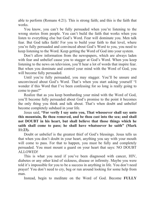able to perform (Romans 4:21). This is strong faith; and this is the faith that works.

You know, you can't be fully persuaded when you're listening to the wrong stories from people. You can't build the faith that works when you listen to everything else but God's Word. Fear will dominate you. Men talk fear. But God talks faith! For you to build your faith to that level, where you're fully persuaded and convinced about God's Word to you, you need to keep listening to the Word. Keep getting the Word of God into your system.

Don't allow information from the newspapers, which are always laden with fear and unbelief cause you to stagger at God's Word. When you keep listening to the news on television, you'll hear a lot of words that inspire fear. But when you dominate and control your mind with the Word of God, you will become fully persuaded.

Until you're fully persuaded, you may stagger. You'll be unsure and unconvinced about God's Word. That's when you start asking yourself "I wonder if this Word that I've been confessing for so long is really going to come to pass?"

Realize that as you keep bombarding your mind with the Word of God, you'll become fully persuaded about God's promise to the point it becomes the only thing you think and talk about. That's when doubt and unbelief become completely subdued in your life.

Jesus said, **"For verily I say unto you, That whosoever shall say unto this mountain, Be thou removed, and be thou cast into the sea; and shall not DOUBT in his heart, but shall believe that those things which he saith shall come to pass; he shall have whatsoever he saith" (Mark 11:23).**

Doubt or unbelief is the greatest thief of God's blessings. Jesus tells us that when you don't doubt in your heart, anything you say with your mouth will come to pass. For that to happen, you must be fully and completely persuaded. You must mount a guard on your heart that says: NO DOUBT ALLOWED!

This is what you need if you've been diagnosed with cancer, HIV, diabetes or any other kind of sickness, disease or infirmity. Maybe you were told it's impossible for you to be a success in anything in life. You don't need prayer! You don't need to cry, beg or run around looking for some help from man.

Instead, begin to meditate on the Word of God. Become **FULLY**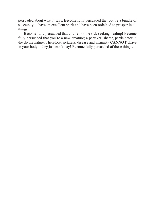persuaded about what it says. Become fully persuaded that you're a bundle of success; you have an excellent spirit and have been ordained to prosper in all things.

Become fully persuaded that you're not the sick seeking healing! Become fully persuaded that you're a new creature; a partaker, sharer, participator in the divine nature. Therefore, sickness, disease and infirmity **CANNOT** thrive in your body – they just can't stay! Become fully persuaded of these things.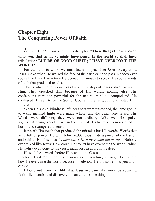## <span id="page-49-0"></span>**Chapter Eight The Conquering Power Of Faith**

*I*<sup>n</sup> John 16:33, Jesus said to His disciples, **"These things <sup>I</sup> have spoken unto you, that in me ye might have peace. In the world ye shall have tribulation: BUT BE OF GOOD CHEER; I HAVE OVERCOME THE WORLD"**

For our faith to work, we must learn to speak like Jesus. Every word Jesus spoke when He walked the face of the earth came to pass. Nobody ever spoke like Him. Every time He opened His mouth to speak, He spoke words of faith that produced results.

This is what the religious folks back in the days of Jesus didn't like about Him. They crucified Him because of His words, nothing else! His confessions were too powerful for the natural mind to comprehend. He confessed Himself to be the Son of God, and the religious folks hated Him for that.

When He spoke, blindness left, deaf ears were unstopped, the lame got up to walk, maimed limbs were made whole, and the dead were raised. His Words were different; they were not ordinary. Whenever He spoke, significant changes took place in the lives of His hearers. Demons cried in horror and scampered in terror.

It wasn't His touch that produced the miracles but His words. Words that were full of power. Here, in John 16:33, Jesus made a powerful confession and said to His disciples, "*Cheer up! I have overcome the world."* Nobody ever talked like Jesus! How could He say, "I have overcome the world" when He hadn't even gone to the cross, much less risen from the dead!

He said these words before He went to the Cross

– before His death, burial and resurrection. Therefore, we ought to find out how He overcame the world because it's obvious He did something you and I can do.

I found out from the Bible that Jesus overcame the world by speaking faith-filled words, and discovered I can do the same thing.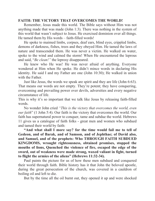#### **FAITH: THE VICTORY THAT OVERCOMES THE WORLD!**

Remember, Jesus made this world. The Bible says without Him was not anything made that was made (John 1:3). There was nothing in the system of this world that wasn't subject to Jesus. He exercised dominion over all things. He tamed them by His words – faith-filled words!

He spoke to maimed limbs, corpses, deaf ears, blind eyes, crippled limbs, demons of darkness, fishes, trees and they obeyed Him. He tamed the laws of nature and transcended them. He was never a victim. He walked on water, spoke to the wind and calmed the storm! When He encountered the leprous and said, "*Be clean!"* the leprosy disappeared.

He knew who He was! He was never afraid of anything. Everyone wondered at Him when He spoke. He didn't mince words in declaring His identity. He said I and my Father are one (John 10:30); He walked in union with the Father.

Just like Jesus, the words we speak are spirit and they are life (John 6:63). That means our words are not empty. They're potent; they have conquering, overcoming and prevailing power over devils, adversities and every negative circumstance of life.

This is why it's so important that we talk like Jesus by releasing faith-filled words.

No wonder John cried *"This is the victory that overcomes the world, even our faith*" (1 John 5:4). Our faith is the victory that overcomes the world. Our faith has supernatural power to conquer, tame and subdue the world. Hebrews 11 gives us a catalogue of faith folks - great men and women who subdued and tamed their world by faith:

**"And what shall I more say? for the time would fail me to tell of Gedeon, and of Barak, and of Samson, and of Jephthae; of David also, and Samuel, and of the prophets: Who THROUGH FAITH SUBDUED KINGDOMS, wrought righteousness, obtained promises, stopped the mouths of lions, Quenched the violence of fire, escaped the edge of the sword, out of weakness were made strong, waxed valiant in fight, turned to flight the armies of the aliens" (Hebrews 11:32-34).**

Paul paints the picture for us of how these men subdued and conquered their world through faith. Bible history has it that John the beloved apostle, during the great persecution of the church, was covered in a cauldron of boiling oil and left to die.

But by the time all the oil burnt out, they opened it up and were shocked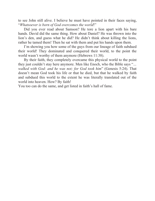to see John still alive. I believe he must have pointed in their faces saying, "*Whatsoever is born of God overcomes the world*!"

Did you ever read about Samson? He tore a lion apart with his bare hands. David did the same thing. How about Daniel? He was thrown into the lion's den, and guess what he did? He didn't think about killing the lions, rather he tamed them! Then he sat with them and put his hands upon them.

I'm showing you how some of the guys from our lineage of faith subdued their world! They dominated and conquered their world, to the point the world wasn't worthy of them anymore (Hebrews 11:38).

By their faith, they completely overcame this physical world to the point they just couldn't stay here anymore. Men like Enoch, who the Bible says "*… walked with God: and he was not; for God took him*" (Genesis 5:24). That doesn't mean God took his life or that he died, but that he walked by faith and subdued this world to the extent he was literally translated out of the world into heaven. How? By faith!

You too can do the same, and get listed in faith's hall of fame.